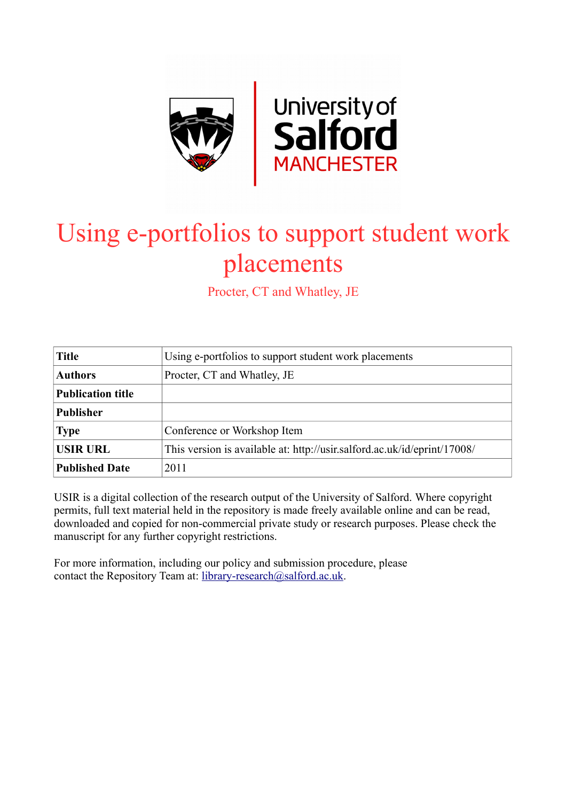

# Using e-portfolios to support student work placements

Procter, CT and Whatley, JE

| <b>Title</b>             | Using e-portfolios to support student work placements                    |  |  |  |  |
|--------------------------|--------------------------------------------------------------------------|--|--|--|--|
| <b>Authors</b>           | Procter, CT and Whatley, JE                                              |  |  |  |  |
| <b>Publication title</b> |                                                                          |  |  |  |  |
| <b>Publisher</b>         |                                                                          |  |  |  |  |
| <b>Type</b>              | Conference or Workshop Item                                              |  |  |  |  |
| <b>USIR URL</b>          | This version is available at: http://usir.salford.ac.uk/id/eprint/17008/ |  |  |  |  |
| <b>Published Date</b>    | 2011                                                                     |  |  |  |  |

USIR is a digital collection of the research output of the University of Salford. Where copyright permits, full text material held in the repository is made freely available online and can be read, downloaded and copied for non-commercial private study or research purposes. Please check the manuscript for any further copyright restrictions.

For more information, including our policy and submission procedure, please contact the Repository Team at: [library-research@salford.ac.uk.](mailto:library-research@salford.ac.uk)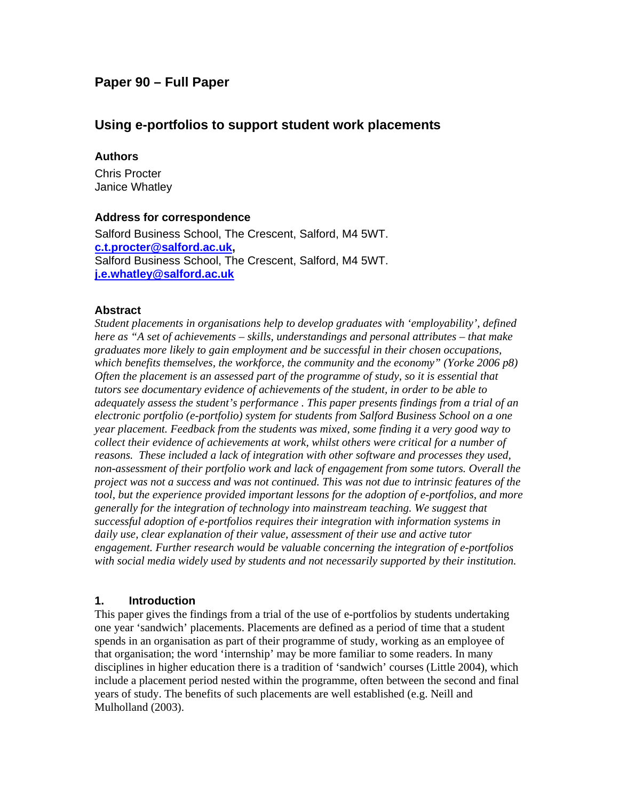# **Paper 90 – Full Paper**

# **Using e-portfolios to support student work placements**

#### **Authors**

Chris Procter Janice Whatley

#### **Address for correspondence**

Salford Business School, The Crescent, Salford, M4 5WT. **c.t.procter@salford.ac.uk,** Salford Business School, The Crescent, Salford, M4 5WT. **j.e.whatley@salford.ac.uk**

#### **Abstract**

*Student placements in organisations help to develop graduates with 'employability', defined here as "A set of achievements – skills, understandings and personal attributes – that make graduates more likely to gain employment and be successful in their chosen occupations, which benefits themselves, the workforce, the community and the economy" (Yorke 2006 p8) Often the placement is an assessed part of the programme of study, so it is essential that tutors see documentary evidence of achievements of the student, in order to be able to adequately assess the student's performance . This paper presents findings from a trial of an electronic portfolio (e-portfolio) system for students from Salford Business School on a one year placement. Feedback from the students was mixed, some finding it a very good way to collect their evidence of achievements at work, whilst others were critical for a number of reasons. These included a lack of integration with other software and processes they used, non-assessment of their portfolio work and lack of engagement from some tutors. Overall the project was not a success and was not continued. This was not due to intrinsic features of the tool, but the experience provided important lessons for the adoption of e-portfolios, and more generally for the integration of technology into mainstream teaching. We suggest that successful adoption of e-portfolios requires their integration with information systems in daily use, clear explanation of their value, assessment of their use and active tutor engagement. Further research would be valuable concerning the integration of e-portfolios with social media widely used by students and not necessarily supported by their institution.* 

## **1. Introduction**

This paper gives the findings from a trial of the use of e-portfolios by students undertaking one year 'sandwich' placements. Placements are defined as a period of time that a student spends in an organisation as part of their programme of study, working as an employee of that organisation; the word 'internship' may be more familiar to some readers. In many disciplines in higher education there is a tradition of 'sandwich' courses (Little 2004), which include a placement period nested within the programme, often between the second and final years of study. The benefits of such placements are well established (e.g. Neill and Mulholland (2003).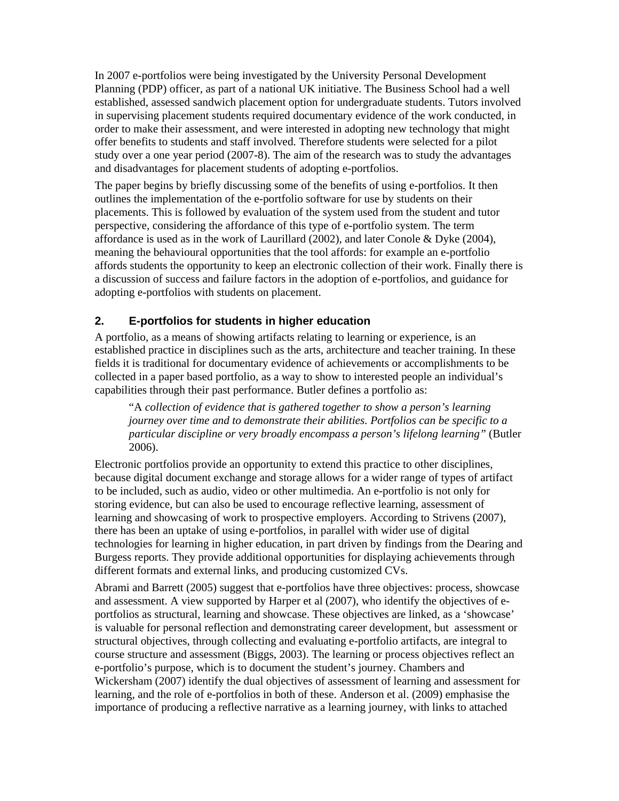In 2007 e-portfolios were being investigated by the University Personal Development Planning (PDP) officer, as part of a national UK initiative. The Business School had a well established, assessed sandwich placement option for undergraduate students. Tutors involved in supervising placement students required documentary evidence of the work conducted, in order to make their assessment, and were interested in adopting new technology that might offer benefits to students and staff involved. Therefore students were selected for a pilot study over a one year period (2007-8). The aim of the research was to study the advantages and disadvantages for placement students of adopting e-portfolios.

The paper begins by briefly discussing some of the benefits of using e-portfolios. It then outlines the implementation of the e-portfolio software for use by students on their placements. This is followed by evaluation of the system used from the student and tutor perspective, considering the affordance of this type of e-portfolio system. The term affordance is used as in the work of Laurillard (2002), and later Conole & Dyke (2004), meaning the behavioural opportunities that the tool affords: for example an e-portfolio affords students the opportunity to keep an electronic collection of their work. Finally there is a discussion of success and failure factors in the adoption of e-portfolios, and guidance for adopting e-portfolios with students on placement.

## **2. E-portfolios for students in higher education**

A portfolio, as a means of showing artifacts relating to learning or experience, is an established practice in disciplines such as the arts, architecture and teacher training. In these fields it is traditional for documentary evidence of achievements or accomplishments to be collected in a paper based portfolio, as a way to show to interested people an individual's capabilities through their past performance. Butler defines a portfolio as:

"A *collection of evidence that is gathered together to show a person's learning journey over time and to demonstrate their abilities. Portfolios can be specific to a particular discipline or very broadly encompass a person's lifelong learning"* (Butler 2006).

Electronic portfolios provide an opportunity to extend this practice to other disciplines, because digital document exchange and storage allows for a wider range of types of artifact to be included, such as audio, video or other multimedia. An e-portfolio is not only for storing evidence, but can also be used to encourage reflective learning, assessment of learning and showcasing of work to prospective employers. According to Strivens (2007), there has been an uptake of using e-portfolios, in parallel with wider use of digital technologies for learning in higher education, in part driven by findings from the Dearing and Burgess reports. They provide additional opportunities for displaying achievements through different formats and external links, and producing customized CVs.

Abrami and Barrett (2005) suggest that e-portfolios have three objectives: process, showcase and assessment. A view supported by Harper et al (2007), who identify the objectives of eportfolios as structural, learning and showcase. These objectives are linked, as a 'showcase' is valuable for personal reflection and demonstrating career development, but assessment or structural objectives, through collecting and evaluating e-portfolio artifacts, are integral to course structure and assessment (Biggs, 2003). The learning or process objectives reflect an e-portfolio's purpose, which is to document the student's journey. Chambers and Wickersham (2007) identify the dual objectives of assessment of learning and assessment for learning, and the role of e-portfolios in both of these. Anderson et al. (2009) emphasise the importance of producing a reflective narrative as a learning journey, with links to attached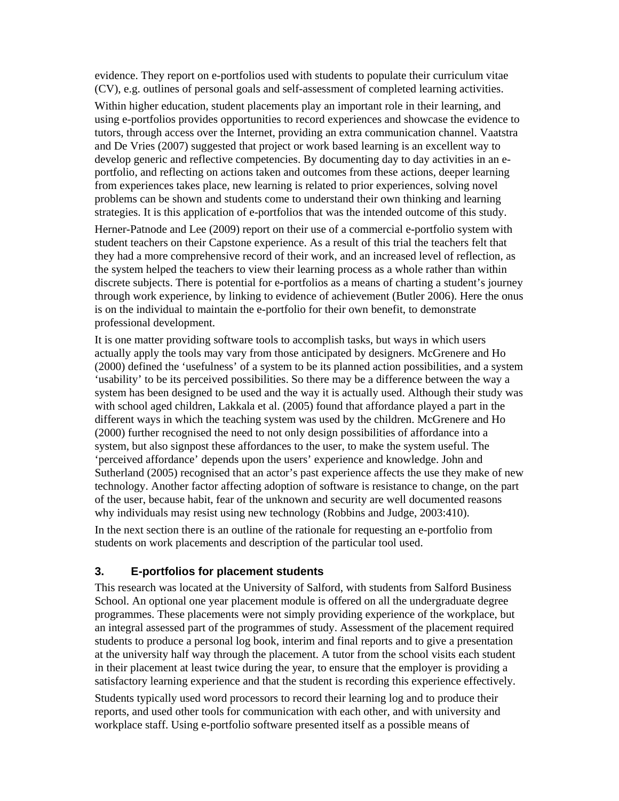evidence. They report on e-portfolios used with students to populate their curriculum vitae (CV), e.g. outlines of personal goals and self-assessment of completed learning activities.

Within higher education, student placements play an important role in their learning, and using e-portfolios provides opportunities to record experiences and showcase the evidence to tutors, through access over the Internet, providing an extra communication channel. Vaatstra and De Vries (2007) suggested that project or work based learning is an excellent way to develop generic and reflective competencies. By documenting day to day activities in an eportfolio, and reflecting on actions taken and outcomes from these actions, deeper learning from experiences takes place, new learning is related to prior experiences, solving novel problems can be shown and students come to understand their own thinking and learning strategies. It is this application of e-portfolios that was the intended outcome of this study.

Herner-Patnode and Lee (2009) report on their use of a commercial e-portfolio system with student teachers on their Capstone experience. As a result of this trial the teachers felt that they had a more comprehensive record of their work, and an increased level of reflection, as the system helped the teachers to view their learning process as a whole rather than within discrete subjects. There is potential for e-portfolios as a means of charting a student's journey through work experience, by linking to evidence of achievement (Butler 2006). Here the onus is on the individual to maintain the e-portfolio for their own benefit, to demonstrate professional development.

It is one matter providing software tools to accomplish tasks, but ways in which users actually apply the tools may vary from those anticipated by designers. McGrenere and Ho (2000) defined the 'usefulness' of a system to be its planned action possibilities, and a system 'usability' to be its perceived possibilities. So there may be a difference between the way a system has been designed to be used and the way it is actually used. Although their study was with school aged children, Lakkala et al. (2005) found that affordance played a part in the different ways in which the teaching system was used by the children. McGrenere and Ho (2000) further recognised the need to not only design possibilities of affordance into a system, but also signpost these affordances to the user, to make the system useful. The 'perceived affordance' depends upon the users' experience and knowledge. John and Sutherland (2005) recognised that an actor's past experience affects the use they make of new technology. Another factor affecting adoption of software is resistance to change, on the part of the user, because habit, fear of the unknown and security are well documented reasons why individuals may resist using new technology (Robbins and Judge, 2003:410).

In the next section there is an outline of the rationale for requesting an e-portfolio from students on work placements and description of the particular tool used.

# **3. E-portfolios for placement students**

This research was located at the University of Salford, with students from Salford Business School. An optional one year placement module is offered on all the undergraduate degree programmes. These placements were not simply providing experience of the workplace, but an integral assessed part of the programmes of study. Assessment of the placement required students to produce a personal log book, interim and final reports and to give a presentation at the university half way through the placement. A tutor from the school visits each student in their placement at least twice during the year, to ensure that the employer is providing a satisfactory learning experience and that the student is recording this experience effectively.

Students typically used word processors to record their learning log and to produce their reports, and used other tools for communication with each other, and with university and workplace staff. Using e-portfolio software presented itself as a possible means of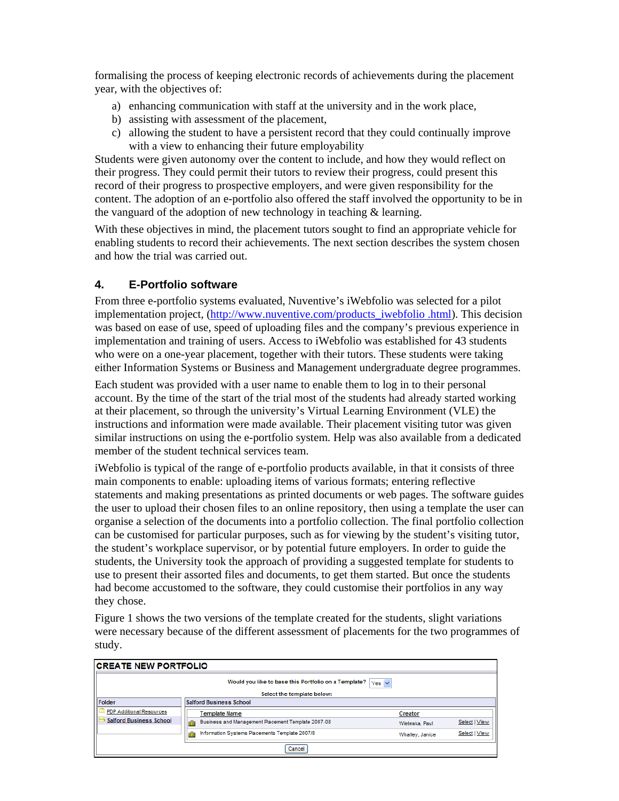formalising the process of keeping electronic records of achievements during the placement year, with the objectives of:

- a) enhancing communication with staff at the university and in the work place,
- b) assisting with assessment of the placement,
- c) allowing the student to have a persistent record that they could continually improve with a view to enhancing their future employability

Students were given autonomy over the content to include, and how they would reflect on their progress. They could permit their tutors to review their progress, could present this record of their progress to prospective employers, and were given responsibility for the content. The adoption of an e-portfolio also offered the staff involved the opportunity to be in the vanguard of the adoption of new technology in teaching  $\&$  learning.

With these objectives in mind, the placement tutors sought to find an appropriate vehicle for enabling students to record their achievements. The next section describes the system chosen and how the trial was carried out.

## **4. E-Portfolio software**

From three e-portfolio systems evaluated, Nuventive's iWebfolio was selected for a pilot implementation project, (http://www.nuventive.com/products\_iwebfolio .html). This decision was based on ease of use, speed of uploading files and the company's previous experience in implementation and training of users. Access to iWebfolio was established for 43 students who were on a one-year placement, together with their tutors. These students were taking either Information Systems or Business and Management undergraduate degree programmes.

Each student was provided with a user name to enable them to log in to their personal account. By the time of the start of the trial most of the students had already started working at their placement, so through the university's Virtual Learning Environment (VLE) the instructions and information were made available. Their placement visiting tutor was given similar instructions on using the e-portfolio system. Help was also available from a dedicated member of the student technical services team.

iWebfolio is typical of the range of e-portfolio products available, in that it consists of three main components to enable: uploading items of various formats; entering reflective statements and making presentations as printed documents or web pages. The software guides the user to upload their chosen files to an online repository, then using a template the user can organise a selection of the documents into a portfolio collection. The final portfolio collection can be customised for particular purposes, such as for viewing by the student's visiting tutor, the student's workplace supervisor, or by potential future employers. In order to guide the students, the University took the approach of providing a suggested template for students to use to present their assorted files and documents, to get them started. But once the students had become accustomed to the software, they could customise their portfolios in any way they chose.

Figure 1 shows the two versions of the template created for the students, slight variations were necessary because of the different assessment of placements for the two programmes of study.

| ICREATE NEW PORTFOLIO           |                                                                      |                 |               |  |  |  |  |  |  |
|---------------------------------|----------------------------------------------------------------------|-----------------|---------------|--|--|--|--|--|--|
|                                 | Would you like to base this Portfolio on a Template?  <br>$Yes \vee$ |                 |               |  |  |  |  |  |  |
| Select the template below:      |                                                                      |                 |               |  |  |  |  |  |  |
| Folder                          | <b>Salford Business School</b>                                       |                 |               |  |  |  |  |  |  |
| <b>PDP Additional Resources</b> | <b>Template Name</b>                                                 | Creator         |               |  |  |  |  |  |  |
| <b>Salford Business School</b>  | Business and Management Placement Template 2007-08                   | Wieteska, Paul  | Select   View |  |  |  |  |  |  |
|                                 | Information Systems Placements Template 2007/8                       | Whatley, Janice | Select   View |  |  |  |  |  |  |
| Cancel                          |                                                                      |                 |               |  |  |  |  |  |  |

#### CREATE NEW BORTEOUR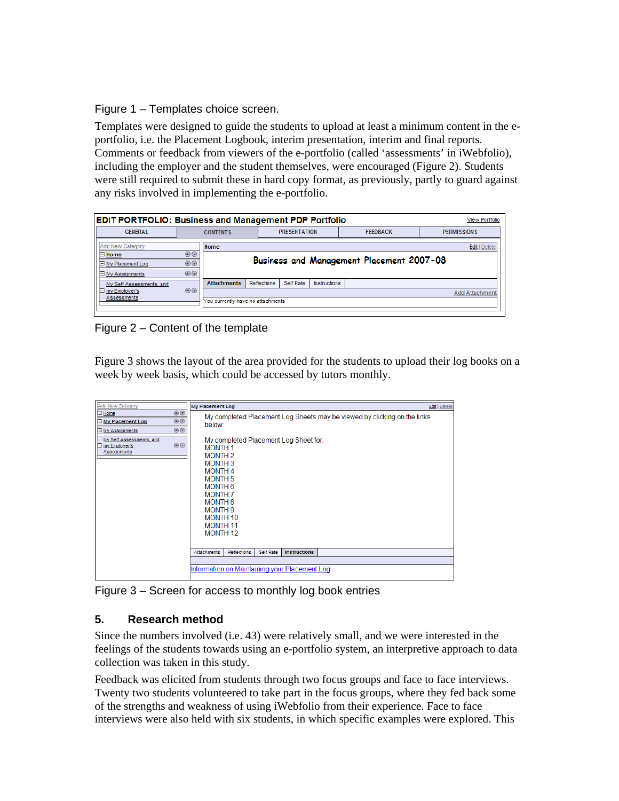Figure 1 – Templates choice screen.

Templates were designed to guide the students to upload at least a minimum content in the eportfolio, i.e. the Placement Logbook, interim presentation, interim and final reports. Comments or feedback from viewers of the e-portfolio (called 'assessments' in iWebfolio), including the employer and the student themselves, were encouraged (Figure 2). Students were still required to submit these in hard copy format, as previously, partly to guard against any risks involved in implementing the e-portfolio.

| <b>EDIT PORTFOLIO: Business and Management PDP Portfolio</b> |                |                                           |             |                     |              |                 |  | <b>View Portfolio</b> |  |
|--------------------------------------------------------------|----------------|-------------------------------------------|-------------|---------------------|--------------|-----------------|--|-----------------------|--|
| <b>GENERAL</b>                                               |                | <b>CONTENTS</b>                           |             | <b>PRESENTATION</b> |              | <b>FEEDBACK</b> |  | <b>PERMISSIONS</b>    |  |
| Add New Category                                             |                | Home                                      |             |                     |              |                 |  | Edit   Delete         |  |
| $\Box$ Home                                                  | 00             |                                           |             |                     |              |                 |  |                       |  |
| $\Box$ My Placement Log                                      | $\circledcirc$ | Business and Management Placement 2007-08 |             |                     |              |                 |  |                       |  |
| $\Box$ My Assignments                                        | 00             |                                           |             |                     |              |                 |  |                       |  |
| My Self Assessments, and                                     |                | <b>Attachments</b>                        | Reflections | Self Rate           | Instructions |                 |  |                       |  |
| $\boxminus$ my Employer's                                    | $\circledcirc$ |                                           |             |                     |              |                 |  | <b>Add Attachment</b> |  |
| Assessments                                                  |                | You currently have no attachments         |             |                     |              |                 |  |                       |  |
|                                                              |                |                                           |             |                     |              |                 |  |                       |  |

Figure 2 – Content of the template

Figure 3 shows the layout of the area provided for the students to upload their log books on a week by week basis, which could be accessed by tutors monthly.

| Add New Category                                                      |                                        | <b>My Placement Log</b>                                                                                                                                                                                                                               |                  |                     |                                                                          | <b>Edit   Delete</b> |  |
|-----------------------------------------------------------------------|----------------------------------------|-------------------------------------------------------------------------------------------------------------------------------------------------------------------------------------------------------------------------------------------------------|------------------|---------------------|--------------------------------------------------------------------------|----------------------|--|
| $\Box$ Home<br>□ My Placement Log<br>□ My Assignments                 | $\circledcirc$<br>00<br>$\circledcirc$ | below <sup>-</sup>                                                                                                                                                                                                                                    |                  |                     | My completed Placement Log Sheets may be viewed by clicking on the links |                      |  |
| My Self Assessments, and<br>00<br>$\Box$ my Employer's<br>Assessments |                                        | My completed Placement Log Sheet for:<br><b>MONTH1</b><br><b>MONTH2</b><br><b>MONTH3</b><br><b>MONTH4</b><br><b>MONTH 5</b><br>MONTH 6<br><b>MONTH 7</b><br><b>MONTH 8</b><br><b>MONTH 9</b><br><b>MONTH 10</b><br><b>MONTH 11</b><br><b>MONTH 12</b> |                  |                     |                                                                          |                      |  |
|                                                                       |                                        | <b>Attachments</b><br>Reflections                                                                                                                                                                                                                     | <b>Self Rate</b> | <b>Instructions</b> |                                                                          |                      |  |
|                                                                       |                                        | Information on Maintaining your Placement Log                                                                                                                                                                                                         |                  |                     |                                                                          |                      |  |

Figure 3 – Screen for access to monthly log book entries

## **5. Research method**

Since the numbers involved (i.e. 43) were relatively small, and we were interested in the feelings of the students towards using an e-portfolio system, an interpretive approach to data collection was taken in this study.

Feedback was elicited from students through two focus groups and face to face interviews. Twenty two students volunteered to take part in the focus groups, where they fed back some of the strengths and weakness of using iWebfolio from their experience. Face to face interviews were also held with six students, in which specific examples were explored. This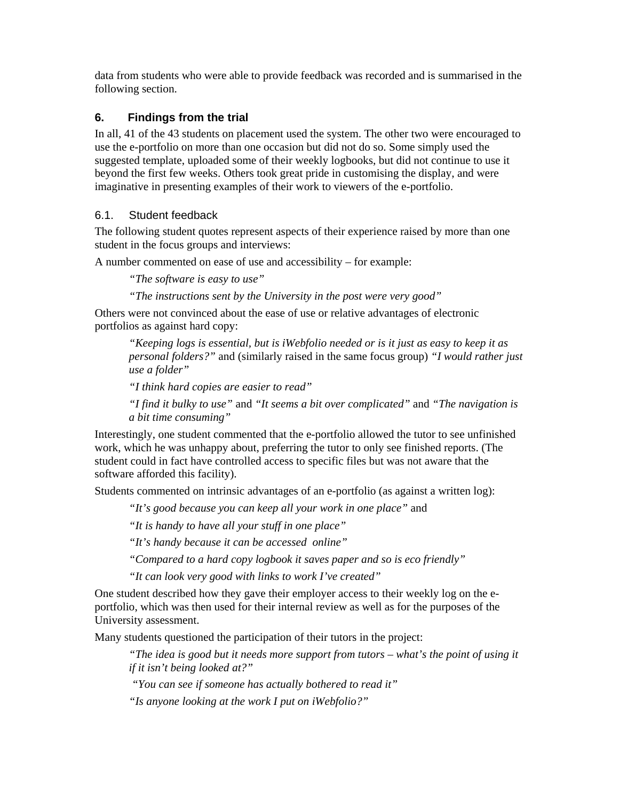data from students who were able to provide feedback was recorded and is summarised in the following section.

# **6. Findings from the trial**

In all, 41 of the 43 students on placement used the system. The other two were encouraged to use the e-portfolio on more than one occasion but did not do so. Some simply used the suggested template, uploaded some of their weekly logbooks, but did not continue to use it beyond the first few weeks. Others took great pride in customising the display, and were imaginative in presenting examples of their work to viewers of the e-portfolio.

# 6.1. Student feedback

The following student quotes represent aspects of their experience raised by more than one student in the focus groups and interviews:

A number commented on ease of use and accessibility – for example:

*"The software is easy to use"* 

*"The instructions sent by the University in the post were very good"* 

Others were not convinced about the ease of use or relative advantages of electronic portfolios as against hard copy:

*"Keeping logs is essential, but is iWebfolio needed or is it just as easy to keep it as personal folders?"* and (similarly raised in the same focus group) *"I would rather just use a folder"* 

*"I think hard copies are easier to read"* 

*"I find it bulky to use"* and *"It seems a bit over complicated"* and *"The navigation is a bit time consuming"* 

Interestingly, one student commented that the e-portfolio allowed the tutor to see unfinished work, which he was unhappy about, preferring the tutor to only see finished reports. (The student could in fact have controlled access to specific files but was not aware that the software afforded this facility).

Students commented on intrinsic advantages of an e-portfolio (as against a written log):

*"It's good because you can keep all your work in one place"* and

*"It is handy to have all your stuff in one place"* 

*"It's handy because it can be accessed online"* 

*"Compared to a hard copy logbook it saves paper and so is eco friendly"* 

*"It can look very good with links to work I've created"* 

One student described how they gave their employer access to their weekly log on the eportfolio, which was then used for their internal review as well as for the purposes of the University assessment.

Many students questioned the participation of their tutors in the project:

*"The idea is good but it needs more support from tutors – what's the point of using it if it isn't being looked at?"* 

 *"You can see if someone has actually bothered to read it"* 

*"Is anyone looking at the work I put on iWebfolio?"*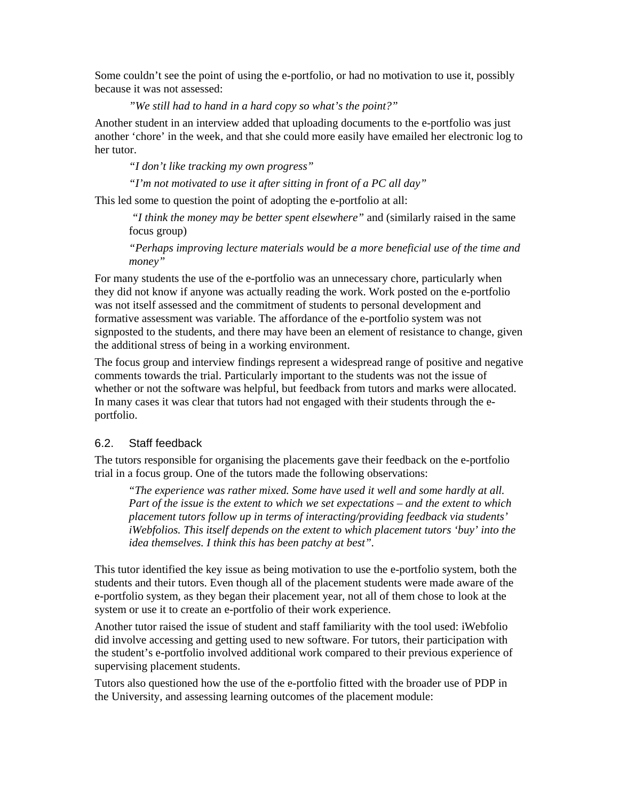Some couldn't see the point of using the e-portfolio, or had no motivation to use it, possibly because it was not assessed:

*"We still had to hand in a hard copy so what's the point?"* 

Another student in an interview added that uploading documents to the e-portfolio was just another 'chore' in the week, and that she could more easily have emailed her electronic log to her tutor.

*"I don't like tracking my own progress"* 

*"I'm not motivated to use it after sitting in front of a PC all day"* 

This led some to question the point of adopting the e-portfolio at all:

 *"I think the money may be better spent elsewhere"* and (similarly raised in the same focus group)

*"Perhaps improving lecture materials would be a more beneficial use of the time and money"* 

For many students the use of the e-portfolio was an unnecessary chore, particularly when they did not know if anyone was actually reading the work. Work posted on the e-portfolio was not itself assessed and the commitment of students to personal development and formative assessment was variable. The affordance of the e-portfolio system was not signposted to the students, and there may have been an element of resistance to change, given the additional stress of being in a working environment.

The focus group and interview findings represent a widespread range of positive and negative comments towards the trial. Particularly important to the students was not the issue of whether or not the software was helpful, but feedback from tutors and marks were allocated. In many cases it was clear that tutors had not engaged with their students through the eportfolio.

#### 6.2. Staff feedback

The tutors responsible for organising the placements gave their feedback on the e-portfolio trial in a focus group. One of the tutors made the following observations:

*"The experience was rather mixed. Some have used it well and some hardly at all. Part of the issue is the extent to which we set expectations – and the extent to which placement tutors follow up in terms of interacting/providing feedback via students' iWebfolios. This itself depends on the extent to which placement tutors 'buy' into the idea themselves. I think this has been patchy at best".* 

This tutor identified the key issue as being motivation to use the e-portfolio system, both the students and their tutors. Even though all of the placement students were made aware of the e-portfolio system, as they began their placement year, not all of them chose to look at the system or use it to create an e-portfolio of their work experience.

Another tutor raised the issue of student and staff familiarity with the tool used: iWebfolio did involve accessing and getting used to new software. For tutors, their participation with the student's e-portfolio involved additional work compared to their previous experience of supervising placement students.

Tutors also questioned how the use of the e-portfolio fitted with the broader use of PDP in the University, and assessing learning outcomes of the placement module: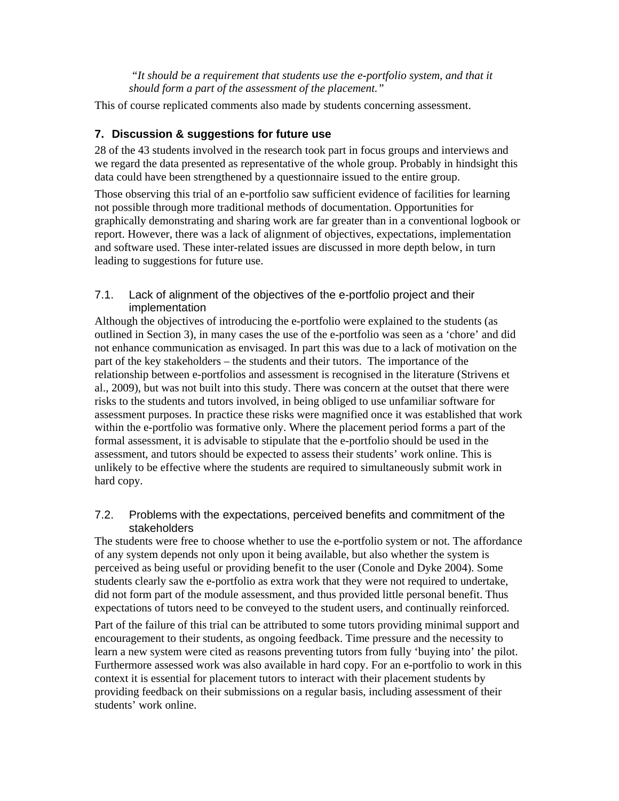*"It should be a requirement that students use the e-portfolio system, and that it should form a part of the assessment of the placement."* 

This of course replicated comments also made by students concerning assessment.

## **7. Discussion & suggestions for future use**

28 of the 43 students involved in the research took part in focus groups and interviews and we regard the data presented as representative of the whole group. Probably in hindsight this data could have been strengthened by a questionnaire issued to the entire group.

Those observing this trial of an e-portfolio saw sufficient evidence of facilities for learning not possible through more traditional methods of documentation. Opportunities for graphically demonstrating and sharing work are far greater than in a conventional logbook or report. However, there was a lack of alignment of objectives, expectations, implementation and software used. These inter-related issues are discussed in more depth below, in turn leading to suggestions for future use.

## 7.1. Lack of alignment of the objectives of the e-portfolio project and their implementation

Although the objectives of introducing the e-portfolio were explained to the students (as outlined in Section 3), in many cases the use of the e-portfolio was seen as a 'chore' and did not enhance communication as envisaged. In part this was due to a lack of motivation on the part of the key stakeholders – the students and their tutors. The importance of the relationship between e-portfolios and assessment is recognised in the literature (Strivens et al., 2009), but was not built into this study. There was concern at the outset that there were risks to the students and tutors involved, in being obliged to use unfamiliar software for assessment purposes. In practice these risks were magnified once it was established that work within the e-portfolio was formative only. Where the placement period forms a part of the formal assessment, it is advisable to stipulate that the e-portfolio should be used in the assessment, and tutors should be expected to assess their students' work online. This is unlikely to be effective where the students are required to simultaneously submit work in hard copy.

## 7.2. Problems with the expectations, perceived benefits and commitment of the stakeholders

The students were free to choose whether to use the e-portfolio system or not. The affordance of any system depends not only upon it being available, but also whether the system is perceived as being useful or providing benefit to the user (Conole and Dyke 2004). Some students clearly saw the e-portfolio as extra work that they were not required to undertake, did not form part of the module assessment, and thus provided little personal benefit. Thus expectations of tutors need to be conveyed to the student users, and continually reinforced.

Part of the failure of this trial can be attributed to some tutors providing minimal support and encouragement to their students, as ongoing feedback. Time pressure and the necessity to learn a new system were cited as reasons preventing tutors from fully 'buying into' the pilot. Furthermore assessed work was also available in hard copy. For an e-portfolio to work in this context it is essential for placement tutors to interact with their placement students by providing feedback on their submissions on a regular basis, including assessment of their students' work online.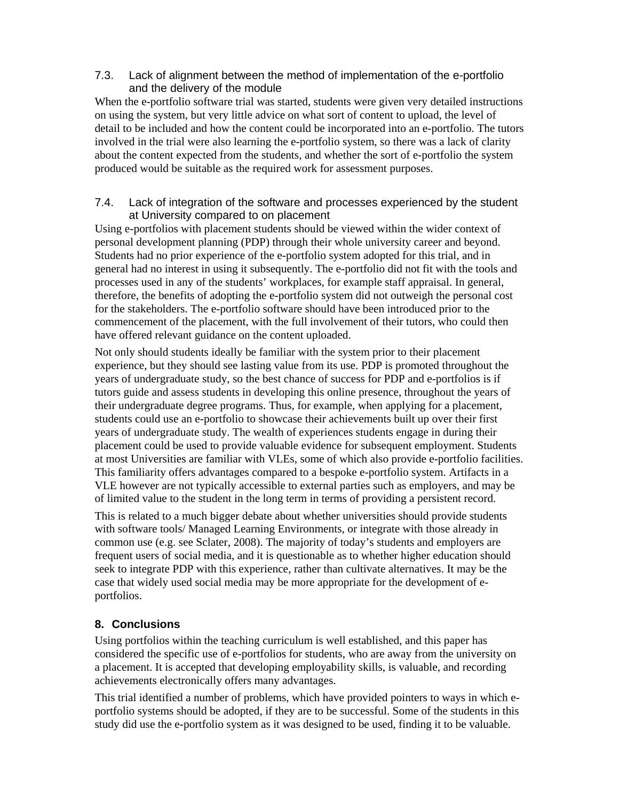## 7.3. Lack of alignment between the method of implementation of the e-portfolio and the delivery of the module

When the e-portfolio software trial was started, students were given very detailed instructions on using the system, but very little advice on what sort of content to upload, the level of detail to be included and how the content could be incorporated into an e-portfolio. The tutors involved in the trial were also learning the e-portfolio system, so there was a lack of clarity about the content expected from the students, and whether the sort of e-portfolio the system produced would be suitable as the required work for assessment purposes.

## 7.4. Lack of integration of the software and processes experienced by the student at University compared to on placement

Using e-portfolios with placement students should be viewed within the wider context of personal development planning (PDP) through their whole university career and beyond. Students had no prior experience of the e-portfolio system adopted for this trial, and in general had no interest in using it subsequently. The e-portfolio did not fit with the tools and processes used in any of the students' workplaces, for example staff appraisal. In general, therefore, the benefits of adopting the e-portfolio system did not outweigh the personal cost for the stakeholders. The e-portfolio software should have been introduced prior to the commencement of the placement, with the full involvement of their tutors, who could then have offered relevant guidance on the content uploaded.

Not only should students ideally be familiar with the system prior to their placement experience, but they should see lasting value from its use. PDP is promoted throughout the years of undergraduate study, so the best chance of success for PDP and e-portfolios is if tutors guide and assess students in developing this online presence, throughout the years of their undergraduate degree programs. Thus, for example, when applying for a placement, students could use an e-portfolio to showcase their achievements built up over their first years of undergraduate study. The wealth of experiences students engage in during their placement could be used to provide valuable evidence for subsequent employment. Students at most Universities are familiar with VLEs, some of which also provide e-portfolio facilities. This familiarity offers advantages compared to a bespoke e-portfolio system. Artifacts in a VLE however are not typically accessible to external parties such as employers, and may be of limited value to the student in the long term in terms of providing a persistent record.

This is related to a much bigger debate about whether universities should provide students with software tools/ Managed Learning Environments, or integrate with those already in common use (e.g. see Sclater, 2008). The majority of today's students and employers are frequent users of social media, and it is questionable as to whether higher education should seek to integrate PDP with this experience, rather than cultivate alternatives. It may be the case that widely used social media may be more appropriate for the development of eportfolios.

# **8. Conclusions**

Using portfolios within the teaching curriculum is well established, and this paper has considered the specific use of e-portfolios for students, who are away from the university on a placement. It is accepted that developing employability skills, is valuable, and recording achievements electronically offers many advantages.

This trial identified a number of problems, which have provided pointers to ways in which eportfolio systems should be adopted, if they are to be successful. Some of the students in this study did use the e-portfolio system as it was designed to be used, finding it to be valuable.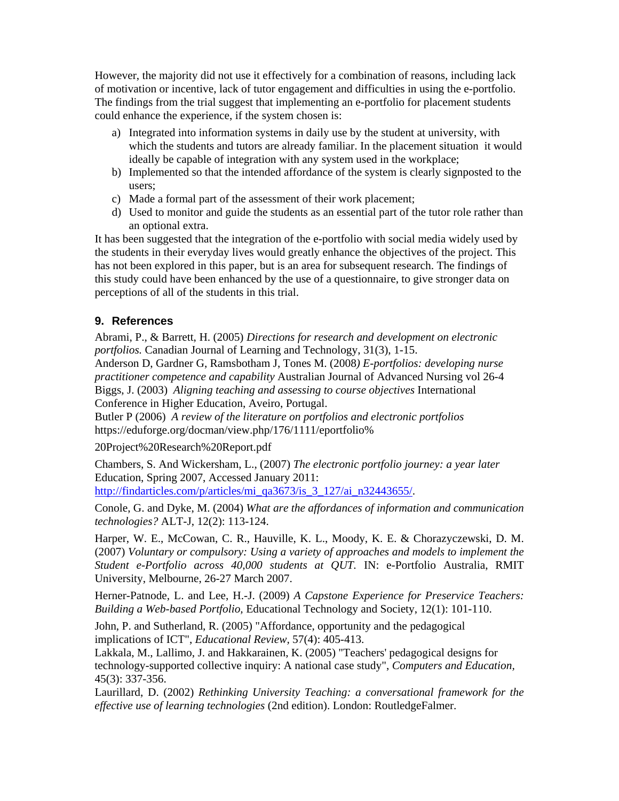However, the majority did not use it effectively for a combination of reasons, including lack of motivation or incentive, lack of tutor engagement and difficulties in using the e-portfolio. The findings from the trial suggest that implementing an e-portfolio for placement students could enhance the experience, if the system chosen is:

- a) Integrated into information systems in daily use by the student at university, with which the students and tutors are already familiar. In the placement situation it would ideally be capable of integration with any system used in the workplace;
- b) Implemented so that the intended affordance of the system is clearly signposted to the users;
- c) Made a formal part of the assessment of their work placement;
- d) Used to monitor and guide the students as an essential part of the tutor role rather than an optional extra.

It has been suggested that the integration of the e-portfolio with social media widely used by the students in their everyday lives would greatly enhance the objectives of the project. This has not been explored in this paper, but is an area for subsequent research. The findings of this study could have been enhanced by the use of a questionnaire, to give stronger data on perceptions of all of the students in this trial.

## **9. References**

Abrami, P., & Barrett, H. (2005) *Directions for research and development on electronic portfolios.* Canadian Journal of Learning and Technology, 31(3), 1-15.

Anderson D, Gardner G, Ramsbotham J, Tones M. (2008*) E-portfolios: developing nurse practitioner competence and capability* Australian Journal of Advanced Nursing vol 26-4 Biggs, J. (2003) *Aligning teaching and assessing to course objectives* International Conference in Higher Education, Aveiro, Portugal.

Butler P (2006) *A review of the literature on portfolios and electronic portfolios*  https://eduforge.org/docman/view.php/176/1111/eportfolio%

20Project%20Research%20Report.pdf

Chambers, S. And Wickersham, L., (2007) *The electronic portfolio journey: a year later* Education, Spring 2007, Accessed January 2011:

http://findarticles.com/p/articles/mi\_qa3673/is\_3\_127/ai\_n32443655/.

Conole, G. and Dyke, M. (2004) *What are the affordances of information and communication technologies?* ALT-J, 12(2): 113-124.

Harper, W. E., McCowan, C. R., Hauville, K. L., Moody, K. E. & Chorazyczewski, D. M. (2007) *Voluntary or compulsory: Using a variety of approaches and models to implement the Student e-Portfolio across 40,000 students at QUT.* IN: e-Portfolio Australia, RMIT University, Melbourne, 26-27 March 2007.

Herner-Patnode, L. and Lee, H.-J. (2009) *A Capstone Experience for Preservice Teachers: Building a Web-based Portfolio,* Educational Technology and Society, 12(1): 101-110.

John, P. and Sutherland, R. (2005) "Affordance, opportunity and the pedagogical implications of ICT", *Educational Review,* 57(4): 405-413.

Lakkala, M., Lallimo, J. and Hakkarainen, K. (2005) "Teachers' pedagogical designs for technology-supported collective inquiry: A national case study", *Computers and Education,* 45(3): 337-356.

Laurillard, D. (2002) *Rethinking University Teaching: a conversational framework for the effective use of learning technologies* (2nd edition). London: RoutledgeFalmer.